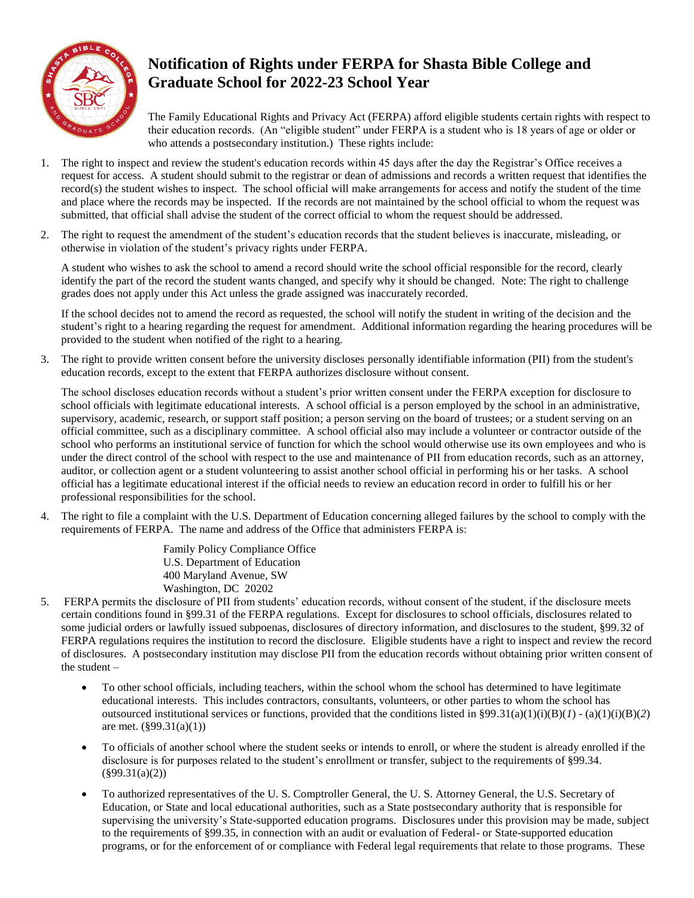

## **Notification of Rights under FERPA for Shasta Bible College and Graduate School for 2022-23 School Year**

The Family Educational Rights and Privacy Act (FERPA) afford eligible students certain rights with respect to their education records. (An "eligible student" under FERPA is a student who is 18 years of age or older or who attends a postsecondary institution.) These rights include:

- 1. The right to inspect and review the student's education records within 45 days after the day the Registrar's Office receives a request for access. A student should submit to the registrar or dean of admissions and records a written request that identifies the record(s) the student wishes to inspect. The school official will make arrangements for access and notify the student of the time and place where the records may be inspected. If the records are not maintained by the school official to whom the request was submitted, that official shall advise the student of the correct official to whom the request should be addressed.
- 2. The right to request the amendment of the student's education records that the student believes is inaccurate, misleading, or otherwise in violation of the student's privacy rights under FERPA.

A student who wishes to ask the school to amend a record should write the school official responsible for the record, clearly identify the part of the record the student wants changed, and specify why it should be changed. Note: The right to challenge grades does not apply under this Act unless the grade assigned was inaccurately recorded.

If the school decides not to amend the record as requested, the school will notify the student in writing of the decision and the student's right to a hearing regarding the request for amendment. Additional information regarding the hearing procedures will be provided to the student when notified of the right to a hearing.

3. The right to provide written consent before the university discloses personally identifiable information (PII) from the student's education records, except to the extent that FERPA authorizes disclosure without consent.

The school discloses education records without a student's prior written consent under the FERPA exception for disclosure to school officials with legitimate educational interests. A school official is a person employed by the school in an administrative, supervisory, academic, research, or support staff position; a person serving on the board of trustees; or a student serving on an official committee, such as a disciplinary committee. A school official also may include a volunteer or contractor outside of the school who performs an institutional service of function for which the school would otherwise use its own employees and who is under the direct control of the school with respect to the use and maintenance of PII from education records, such as an attorney, auditor, or collection agent or a student volunteering to assist another school official in performing his or her tasks. A school official has a legitimate educational interest if the official needs to review an education record in order to fulfill his or her professional responsibilities for the school.

4. The right to file a complaint with the U.S. Department of Education concerning alleged failures by the school to comply with the requirements of FERPA. The name and address of the Office that administers FERPA is:

> Family Policy Compliance Office U.S. Department of Education 400 Maryland Avenue, SW Washington, DC 20202

- 5. FERPA permits the disclosure of PII from students' education records, without consent of the student, if the disclosure meets certain conditions found in §99.31 of the FERPA regulations. Except for disclosures to school officials, disclosures related to some judicial orders or lawfully issued subpoenas, disclosures of directory information, and disclosures to the student, §99.32 of FERPA regulations requires the institution to record the disclosure. Eligible students have a right to inspect and review the record of disclosures. A postsecondary institution may disclose PII from the education records without obtaining prior written consent of the student –
	- To other school officials, including teachers, within the school whom the school has determined to have legitimate educational interests. This includes contractors, consultants, volunteers, or other parties to whom the school has outsourced institutional services or functions, provided that the conditions listed in §99.31(a)(1)(i)(B)(*1*) - (a)(1)(i)(B)(*2*) are met.  $(\frac{6}{99.31(a)(1)})$
	- To officials of another school where the student seeks or intends to enroll, or where the student is already enrolled if the disclosure is for purposes related to the student's enrollment or transfer, subject to the requirements of §99.34.  $(\$99.31(a)(2))$
	- To authorized representatives of the U. S. Comptroller General, the U. S. Attorney General, the U.S. Secretary of Education, or State and local educational authorities, such as a State postsecondary authority that is responsible for supervising the university's State-supported education programs. Disclosures under this provision may be made, subject to the requirements of §99.35, in connection with an audit or evaluation of Federal- or State-supported education programs, or for the enforcement of or compliance with Federal legal requirements that relate to those programs. These